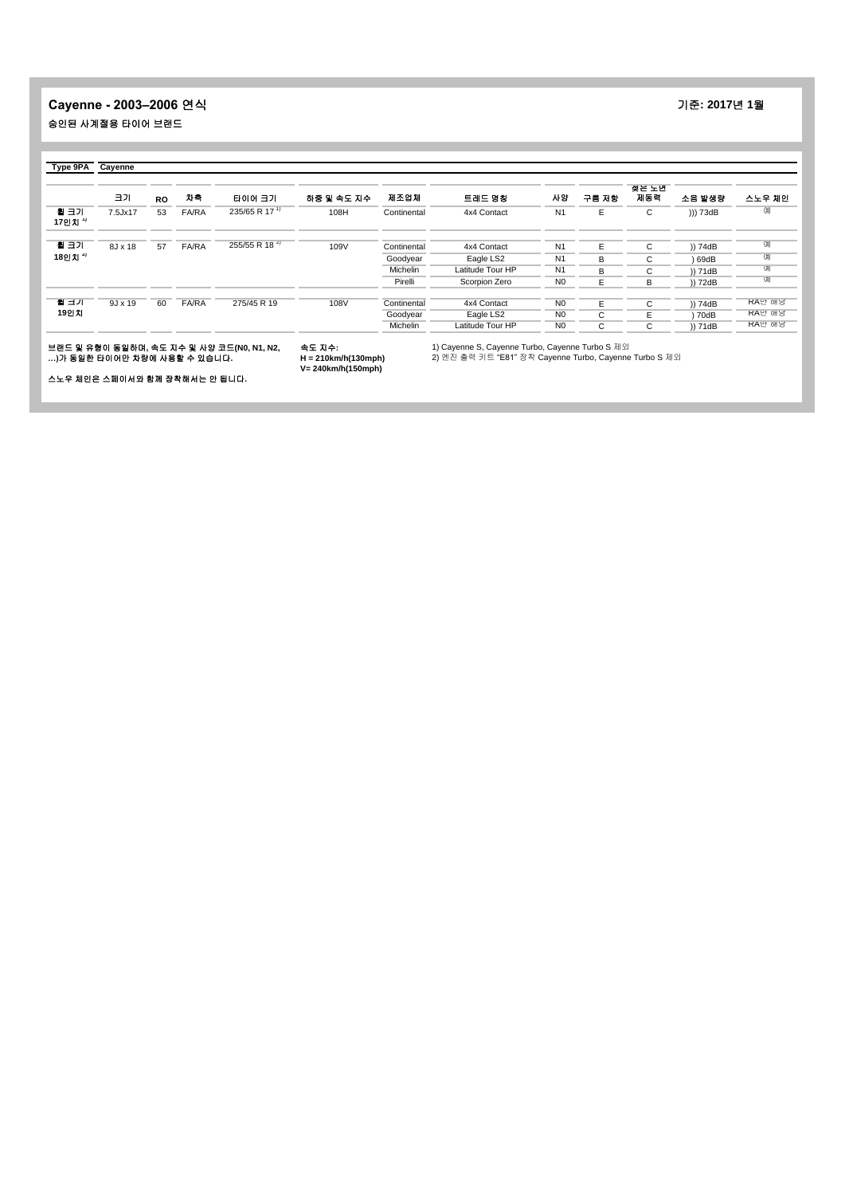## **Cayenne - 2003–2006** 연식 기준**: 2017**년 **1**월 승인된 사계절용 타이어 브랜드

|                    | 크기             | <b>RO</b> | 차축           | 타이어 크기                    | 하중 및 속도 지수 | 제조업체        | 트레드 명칭           | 사양             | 구름 저항 | 젖은 노면<br>제동력 | 소음 발생량   | 스노우 체인         |
|--------------------|----------------|-----------|--------------|---------------------------|------------|-------------|------------------|----------------|-------|--------------|----------|----------------|
| 휠 크기<br>17인치 ''    | 7.5Jx17        | 53        | <b>FA/RA</b> | 235/65 R 17 <sup>1)</sup> | 108H       | Continental | 4x4 Contact      | N <sub>1</sub> | E     | C            | ))) 73dB | <b>CHI</b>     |
| 휠 크기               | 8J x 18        | 57        | FA/RA        | 255/55 R 18 <sup>4)</sup> | 109V       | Continental | 4x4 Contact      | N <sub>1</sub> | E     | C            | )) 74dB  | OШ             |
| 18인치 <sup>4)</sup> |                |           |              |                           |            | Goodyear    | Eagle LS2        | N <sub>1</sub> | R     | C.           | 69dB     | $\overline{O}$ |
|                    |                |           |              |                           |            | Michelin    | Latitude Tour HP | N <sub>1</sub> | R     | C            | )) 71dB  | U              |
|                    |                |           |              |                           |            | Pirelli     | Scorpion Zero    | N <sub>0</sub> |       | B            | )) 72dB  | UII            |
| 될 크기               | $9J \times 19$ | 60        | FA/RA        | 275/45 R 19               | 108V       | Continental | 4x4 Contact      | N <sub>0</sub> | Е     | C.           | )) 74dB  | RA만 해낭         |
| 19인치               |                |           |              |                           |            | Goodyear    | Eagle LS2        | N <sub>0</sub> | C.    |              | ) 70dB   | RA만 해낭         |
|                    |                |           |              |                           |            | Michelin    | Latitude Tour HP | N <sub>0</sub> | C     | C            | )) 71dB  | RA만 해낭         |

스노우 체인은 스페이서와 함께 장착해서는 안 됩니다**.**

**H = 210km/h(130mph) V= 240km/h(150mph)**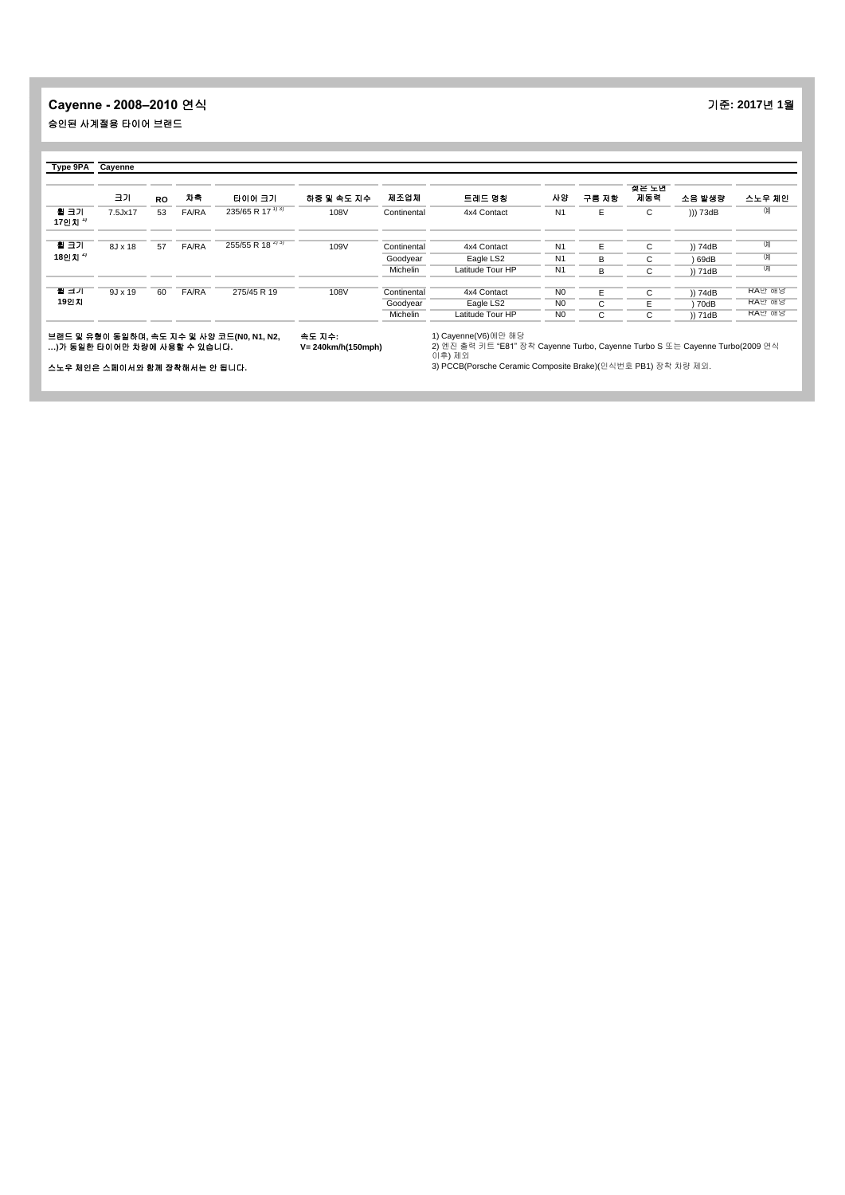## **Cayenne - 2008–2010** 연식 기준**: 2017**년 **1**월 승인된 사계절용 타이어 브랜드

|                    | 크기             | <b>RO</b> | 차축    | 타이어 크기                       | 하중 및 속도 지수 | 제조업체        | 트레드 명칭           | 사양             | 구름 저항 | 젖은 노면<br>제동력 | 소음 발생량   | 스노우 체인     |
|--------------------|----------------|-----------|-------|------------------------------|------------|-------------|------------------|----------------|-------|--------------|----------|------------|
| 휠 크기<br>17인치 ''    | 7.5Jx17        | 53        | FA/RA | 235/65 R $17^{1/3}$          | 108V       | Continental | 4x4 Contact      | N <sub>1</sub> | E     | С            | ))) 73dB | CHI        |
| 휠 크기               | 8J x 18        | 57        | FA/RA | 255/55 R 18 <sup>4) 3)</sup> | 109V       | Continental | 4x4 Contact      | N <sub>1</sub> | E.    | С            | )) 74dB  | CHI        |
| 18인치 <sup>4)</sup> |                |           |       |                              |            | Goodyear    | Eagle LS2        | N <sub>1</sub> | B     | С            | 69dB     | $^{\circ}$ |
|                    |                |           |       |                              |            | Michelin    | Latitude Tour HP | N <sub>1</sub> | B     | C            | )) 71dB  | U          |
| 될 크기               | $9J \times 19$ | 60        | FA/RA | 275/45 R 19                  | 108V       | Continental | 4x4 Contact      | N <sub>0</sub> | E     | С            | )) 74dB  | RA만 해낭     |
| 19인지               |                |           |       |                              |            | Goodyear    | Eagle LS2        | N <sub>0</sub> | C     | E            | 70dB     | RA만 해낭     |
|                    |                |           |       |                              |            | Michelin    | Latitude Tour HP | N <sub>0</sub> | C     | С            | )) 71dB  | RA만 해낭     |

브랜드 및 유형이 동일하며**,** 속도 지수 및 사양 코드**(N0, N1, N2, …)**가 동일한 타이어만 차량에 사용할 수 있습니다**.** 속도 지수**: V= 240km/h(150mph)**

1) Cayenne(V6)에만 해당<br>2) 엔진 출력 키트 "E81" 장착 Cayenne Turbo, Cayenne Turbo S 또는 Cayenne Turbo(2009 연식<br>이후) 제외<br>3) PCCB(Porsche Ceramic Composite Brake)(인식번호 PB1) 장착 차량 제외.

스노우 체인은 스페이서와 함께 장착해서는 안 됩니다**.**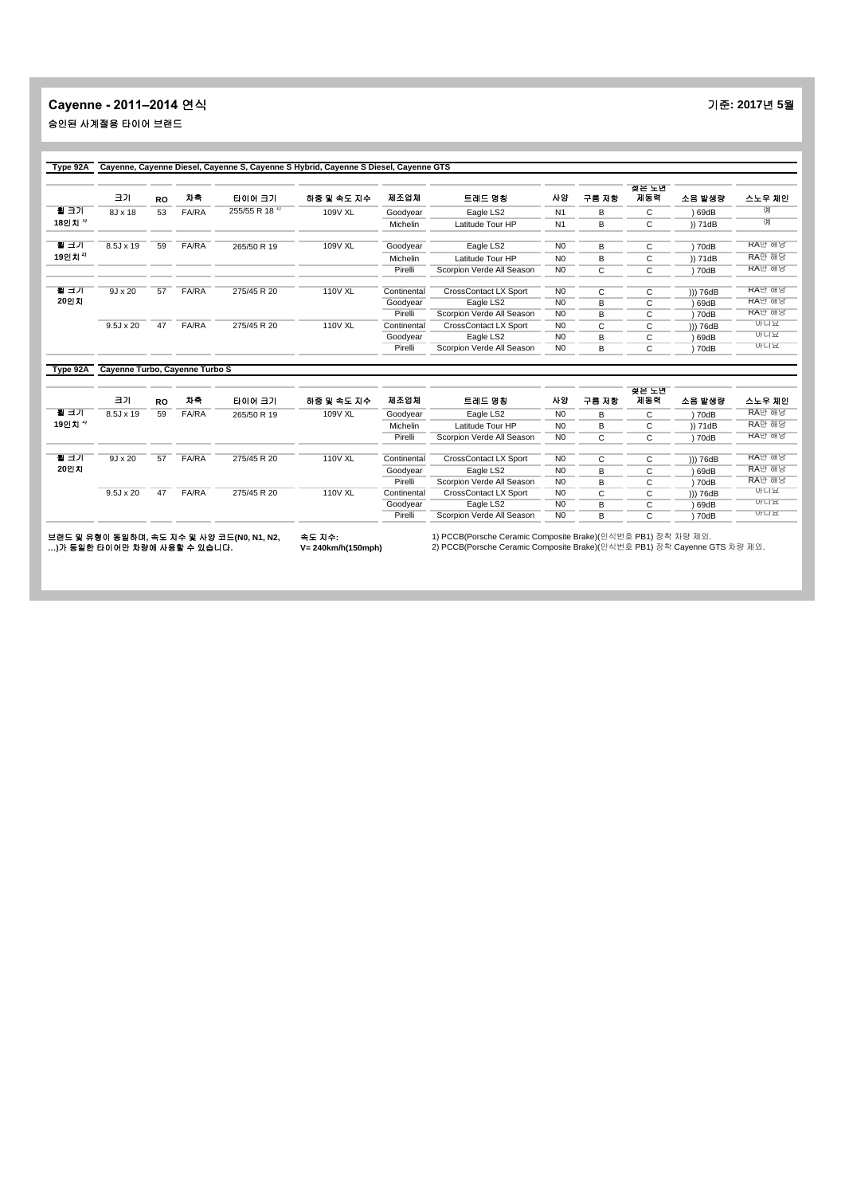## **Cayenne - 2011–2014** 연식 기준**: 2017**년 **5**월 승인된 사계절용 타이어 브랜드

|         | 크기               | <b>RO</b> | 차축           | 타이어 크기        | 하중 및 속도 지수     | 제조업체            | 트레드 명칭                       | 사양             | 구름 저항 | 젖은 노면<br>지동력 | 소음 발생량   | 스노우 체인         |
|---------|------------------|-----------|--------------|---------------|----------------|-----------------|------------------------------|----------------|-------|--------------|----------|----------------|
| 휠 크기    | 8J x 18          | 53        | FA/RA        | 255/55 R 18 1 | 109V XL        | Goodyear        | Eagle LS2                    | N <sub>1</sub> | B     | C            | 69dB     |                |
| 18인치 '' |                  |           |              |               |                | Michelin        | Latitude Tour HP             | N <sub>1</sub> | в     | С            | )) 71dB  | $\overline{O}$ |
| 될 크기    | 8.5J x 19        | 59        | FA/RA        | 265/50 R 19   | 109V XL        | Goodyear        | Eagle LS2                    | N <sub>0</sub> | B     | C            | 70dB     | RA만 해당         |
| 19인치 4  |                  |           |              |               |                | <b>Michelin</b> | Latitude Tour HP             | N <sub>0</sub> | R     | С            | )) 71dB  | RA만 해당         |
|         |                  |           |              |               |                | Pirelli         | Scorpion Verde All Season    | N <sub>0</sub> | C     | C            | 70dB     | RA만 해낭         |
| 될 크기    | $9J \times 20$   | 57        | <b>FA/RA</b> | 275/45 R 20   | <b>110V XL</b> | Continental     | <b>CrossContact LX Sport</b> | N <sub>0</sub> | C     | C            | ))) 76dB | RA만 해당         |
| 20인지    |                  |           |              |               |                | Goodyear        | Eagle LS2                    | N <sub>0</sub> | B     | С            | 69dB     | RA만 해낭         |
|         |                  |           |              |               |                | Pirelli         | Scorpion Verde All Season    | N <sub>0</sub> | B     | С            | 70dB     | RA만 해당         |
|         | $9.5J \times 20$ | 47        | <b>FA/RA</b> | 275/45 R 20   | 110V XL        | Continental     | <b>CrossContact LX Sport</b> | N <sub>0</sub> | C     | С            | ))) 76dB | 아니요            |
|         |                  |           |              |               |                | Goodyear        | Eagle LS2                    | N <sub>0</sub> | B     | С            | 69dB     | 아니요            |
|         |                  |           |              |               |                | Pirelli         | Scorpion Verde All Season    | N <sub>0</sub> | B     | С            | 70dB     | 아니요            |

|        | 크기               | <b>RO</b> | 자축           | 타이어 크기                                    | 하중 및 속도 지수     | 제조업체        | 트레드 명칭                       | 사양             | 구름 저항 | 젖은 노면<br>제동력 | 소음 발생량   | 스노우 체인 |
|--------|------------------|-----------|--------------|-------------------------------------------|----------------|-------------|------------------------------|----------------|-------|--------------|----------|--------|
| 될 크기   | $8.5J \times 19$ | 59        | <b>FA/RA</b> | 265/50 R 19                               | 109V XL        | Goodyear    | Eagle LS2                    | N <sub>0</sub> | R     | ◡            | 70dB     | RA만 해낭 |
| 19인치 " |                  |           |              |                                           |                | Michelin    | Latitude Tour HP             | N <sub>0</sub> | B     | ◡            | )) 71dB  | RA만 해당 |
|        |                  |           |              |                                           |                | Pirelli     | Scorpion Verde All Season    | N <sub>0</sub> |       | ◡            | 70dB     | RA만 해낭 |
|        |                  |           |              |                                           |                |             |                              |                |       |              |          |        |
| 될 크기   | $9.1 \times 20$  | 57        | <b>FA/RA</b> | 275/45 R 20                               | <b>110V XL</b> | Continental | <b>CrossContact LX Sport</b> | N <sub>0</sub> |       | $\sim$       | ))) 76dB | RA만 해낭 |
| 20인치   |                  |           |              |                                           |                | Goodvear    | Eagle LS2                    | N <sub>0</sub> | R     | $\sim$<br>Ü  | 69dB     | RA만 해당 |
|        |                  |           |              |                                           |                | Pirelli     | Scorpion Verde All Season    | N <sub>0</sub> | в     |              | 70dB     | RA만 해낭 |
|        | $9.5J \times 20$ | 47        | <b>FA/RA</b> | 275/45 R 20                               | <b>110V XL</b> | Continental | <b>CrossContact LX Sport</b> | N <sub>0</sub> |       | U            | ))) 76dB | 아니요    |
|        |                  |           |              |                                           |                | Goodyear    | Eagle LS2                    | N <sub>0</sub> | B     | $\sim$<br>◡  | 69dB     | 아니요    |
|        |                  |           |              |                                           |                | Pirelli     | Scorpion Verde All Season    | N <sub>0</sub> | R     | $\sim$       | 70dB     | 아니요    |
|        |                  |           |              | HSIE 이 오늘이 들어왔어. 소든 집 사 이 사야 그들까요 !!! !!! | $+ - +$        |             |                              |                |       |              |          |        |

브랜드 및 유형이 동일하며**,** 속도 지수 및 사양 코드**(N0, N1, N2, …)**가 동일한 타이어만 차량에 사용할 수 있습니다**.** 속도 지수**: V= 240km/h(150mph)**

1) PCCB(Porsche Ceramic Composite Brake)(인식번호 PB1) 장착 차량 제외. 2) PCCB(Porsche Ceramic Composite Brake)(인식번호 PB1) 장착 Cayenne GTS 차량 제외.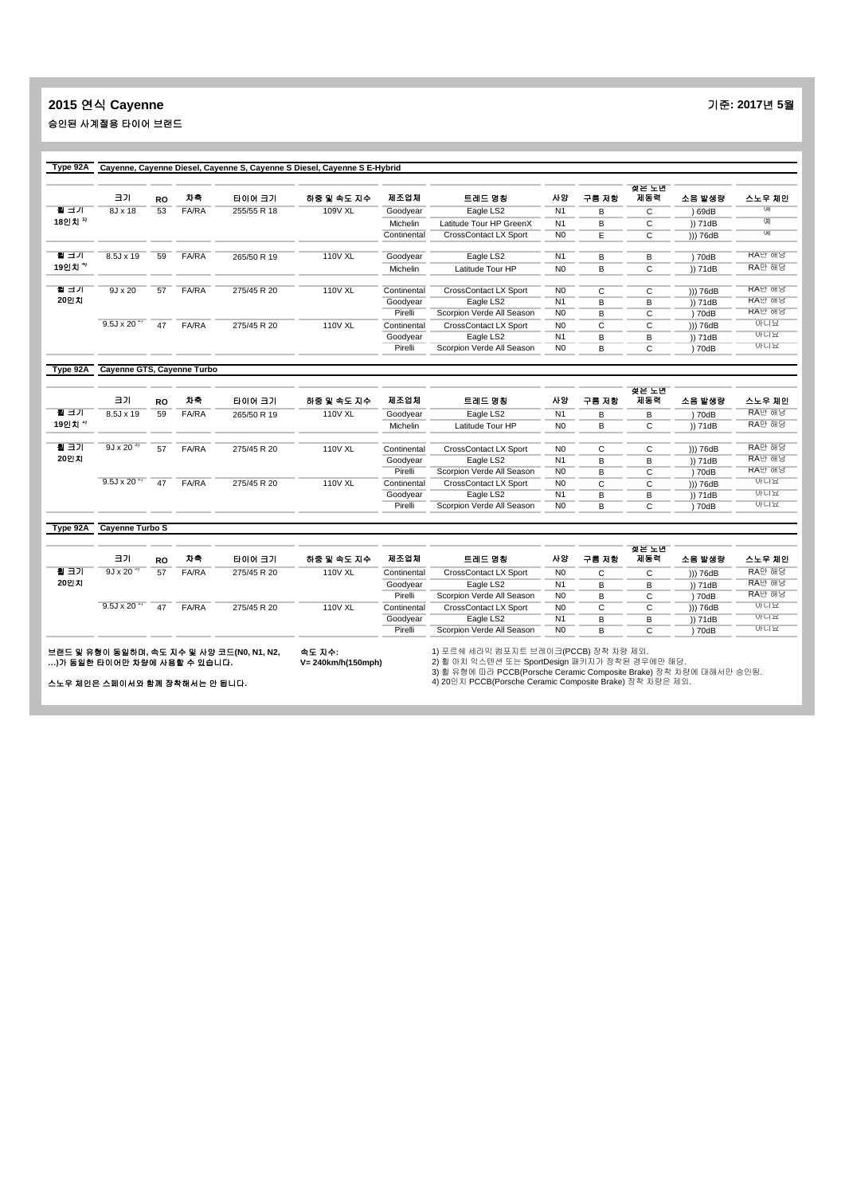# **2015** 연식 **Cayenne** 기준**: 2017**년 **5**월 승인된 사계절용 타이어 브랜드

|         | 크기                    | <b>RO</b> | 차축           | 타이어 크기      | 하중 및 속도 지수     | 제조업체            | 트레드 명칭                       | 사양             | 구름 저항 | 젖은 노면<br>제동력 | 소음 발생량   | 스노우 체인 |
|---------|-----------------------|-----------|--------------|-------------|----------------|-----------------|------------------------------|----------------|-------|--------------|----------|--------|
| 될 크기    | 8J x 18               | 53        | <b>FA/RA</b> | 255/55 R 18 | 109V XL        | Goodyear        | Eagle LS2                    | N <sub>1</sub> | B     | C            | 69dB     | UHI    |
| 18인치 '' |                       |           |              |             |                | <b>Michelin</b> | Latitude Tour HP GreenX      | N <sub>1</sub> | B     | C            | )) 71dB  | U      |
|         |                       |           |              |             |                | Continental     | <b>CrossContact LX Sport</b> | N <sub>0</sub> | E     | C            | ))) 76dB | UII    |
| 뒬 크기    | 8.5J x 19             | 59        | <b>FA/RA</b> | 265/50 R 19 | <b>110V XL</b> | Goodyear        | Eagle LS2                    | N1             | B     | В            | 70dB     | RA만 해낭 |
| 19인치 *' |                       |           |              |             |                | Michelin        | Latitude Tour HP             | N <sub>0</sub> | в     | С            | )) 71dB  | RA만 해당 |
| 뒬 크기    | $9J \times 20$        | 57        | <b>FA/RA</b> | 275/45 R 20 | <b>110V XL</b> | Continental     | <b>CrossContact LX Sport</b> | N <sub>0</sub> | C     | C            | ))) 76dB | RA만 해낭 |
| 20인지    |                       |           |              |             |                | Goodyear        | Eagle LS2                    | N <sub>1</sub> |       | в            | )) 71dB  | RA만 해낭 |
|         |                       |           |              |             |                | Pirelli         | Scorpion Verde All Season    | N <sub>0</sub> | B     | С            | 70dB     | RA만 해낭 |
|         | $9.5J \times 20^{-2}$ | 47        | FA/RA        | 275/45 R 20 | <b>110V XL</b> | Continental     | <b>CrossContact LX Sport</b> | N <sub>0</sub> | C     | C            | ))) 76dB | 아니요    |
|         |                       |           |              |             |                | Goodyear        | Eagle LS2                    | N <sub>1</sub> | B     | B            | )) 71dB  | 아니요    |
|         |                       |           |              |             |                | Pirelli         | Scorpion Verde All Season    | N <sub>0</sub> | B     | C            | 70dB     | 아니요    |

|                                     | <b>RO</b> | 자축           | 타이어 크기      | 하중 및 속도 지수     | 제조업체        | 트레드 명칭                    | 사양                           | 구름 저항        | 젖은 노면<br>제동력 | 소음 발생량   | 스노우 체인   |
|-------------------------------------|-----------|--------------|-------------|----------------|-------------|---------------------------|------------------------------|--------------|--------------|----------|----------|
| $8.5J \times 19$                    | 59        | <b>FA/RA</b> | 265/50 R 19 | <b>110V XL</b> | Goodyear    | Eagle LS2                 | N <sub>1</sub>               | R            | в            | 70dB     | RA만 해낭   |
|                                     |           |              |             |                | Michelin    | Latitude Tour HP          | N <sub>0</sub>               | B            | $\sim$<br>◡  | )) 71dB  | RA만 해당   |
| $9J \times 20^{-3}$                 | 57        | <b>FA/RA</b> | 275/45 R 20 | <b>110V XL</b> | Continental |                           | N <sub>0</sub>               | C            |              |          | RA만 해당   |
|                                     |           |              |             |                | Goodyear    | Eagle LS2                 | N <sub>1</sub>               | <sub>R</sub> | в            | )) 71dB  | RA만 해낭   |
|                                     |           |              |             |                | Pirelli     | Scorpion Verde All Season | N <sub>0</sub>               | B            | С            | 70dB     | RA만 해낭   |
| 9.5J x 20 <sup><math>4</math></sup> | 47        | FA/RA        | 275/45 R 20 | <b>110V XL</b> | Continental | CrossContact LX Sport     | N <sub>0</sub>               | C.           | $\sim$<br>Ü  | ))) 76dB | 아니요      |
|                                     |           |              |             |                | Goodyear    | Eagle LS2                 | N <sub>1</sub>               | <sub>R</sub> | B            | )) 71dB  | 아니요      |
|                                     |           |              |             |                | Pirelli     | Scorpion Verde All Season | N <sub>0</sub>               | R            | C            | 70dB     | 아니요      |
|                                     |           |              |             |                |             |                           | <b>CrossContact LX Sport</b> |              |              | C        | ))) 76dB |

#### **Type 92A Cayenne Turbo S**

|      | 크기                                  | <b>RO</b> | 차축           | 타이어 크기      | 하중 및 속도 지수     | 제조업체        | 트레드 명칭                       | 사암             | 구름 저항 | 젖은 노년<br>지동력 | 소음 발생량   | 스노우 체인 |
|------|-------------------------------------|-----------|--------------|-------------|----------------|-------------|------------------------------|----------------|-------|--------------|----------|--------|
| 휠 크기 | $9J \times 20^{-3}$                 | 57        | <b>FA/RA</b> | 275/45 R 20 | <b>110V XL</b> | Continental | <b>CrossContact LX Sport</b> | N <sub>0</sub> | C     | $\sim$<br>U  | ))) 76dB | RA만 해당 |
| 20인지 |                                     |           |              |             |                | Goodvear    | Eagle LS2                    | N1             |       | в            | )) 71dB  | RA만 해낭 |
|      |                                     |           |              |             |                | Pirelli     | Scorpion Verde All Season    | N <sub>0</sub> | в     |              | 70dB     | RA만 해낭 |
|      | 9.5J x 20 <sup><math>4</math></sup> | 47        | <b>FA/RA</b> | 275/45 R 20 | <b>110V XL</b> | Continental | <b>CrossContact LX Sport</b> | N <sub>0</sub> | С     | $\sim$<br>◡  | ))) 76dB | 아니요    |
|      |                                     |           |              |             |                | Goodyear    | Eagle LS2                    | N1             | R     | в            | )) 71dB  | 아니요    |
|      |                                     |           |              |             |                | Pirelli     | Scorpion Verde All Season    | N <sub>0</sub> |       | ⌒            | 70dB     | 아니요    |
|      |                                     |           |              |             |                |             |                              |                |       |              |          |        |

브랜드 및 유형이 동일하며**,** 속도 지수 및 사양 코드**(N0, N1, N2, …)**가 동일한 타이어만 차량에 사용할 수 있습니다**.**

속도 지수**: V= 240km/h(150mph)**

1) 포르쉐 세라믹 컴포지트 브레이크(PCCB) 장착 차량 제외.<br>2) 휠 아치 익스텐션 또는 SportDesign 패키지가 장착된 경우에만 해당.<br>3) 휠 유형에 따라 PCCB(Porsche Ceramic Composite Brake) 장착 차량은 제외.<br>4) 20인치 PCCB(Porsche Ceramic Composite Brake) 장착 차량은 제외.

스노우 체인은 스페이서와 함께 장착해서는 안 됩니다**.**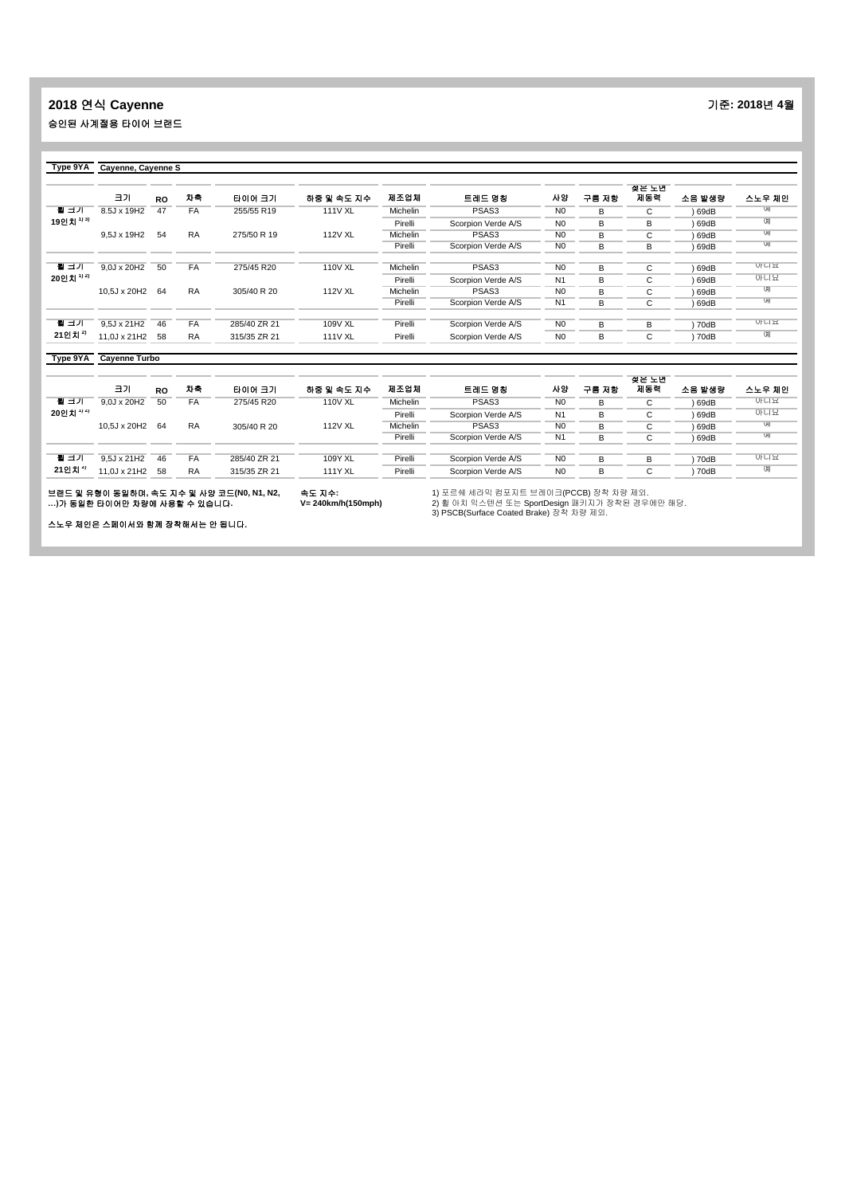#### **2018** 연식 **Cayenne** 기준**: 2018**년 **4**월 승인된 사계절용 타이어 브랜드

| Type $9YA$ | Cayenne, Cayenne S |           |           |              |                |          |                    |                |       |              |        |            |
|------------|--------------------|-----------|-----------|--------------|----------------|----------|--------------------|----------------|-------|--------------|--------|------------|
|            | 크기                 | <b>RO</b> | 차축        | 타이어 크기       | 하중 및 속도 지수     | 제조업체     | 트레드 명칭             | 사양             | 구름 저항 | 젖은 노면<br>제동력 | 소음 발생량 | 스노우 체인     |
| 될 크기       | 8.5J x 19H2        | 47        | <b>FA</b> | 255/55 R19   | <b>111V XL</b> | Michelin | PSAS <sub>3</sub>  | N <sub>0</sub> | B     | C            | 69dB   | UН         |
| 19인치 ""    |                    |           |           |              |                | Pirelli  | Scorpion Verde A/S | N <sub>0</sub> | R     | B            | ) 69dB | U          |
|            | 9.5J x 19H2        | 54        | <b>RA</b> | 275/50 R 19  | <b>112V XL</b> | Michelin | PSAS3              | N <sub>0</sub> | в     | C            | 69dB   | UHI        |
|            |                    |           |           |              |                | Pirelli  | Scorpion Verde A/S | N <sub>0</sub> | B     | B            | 69dB   | UHI        |
| 될 크기       | $9.0J \times 20H2$ | 50        | <b>FA</b> | 275/45 R20   | <b>110V XL</b> | Michelin | PSAS3              | N <sub>0</sub> | R     |              |        | 아니요        |
| 20인치 '' '' |                    |           |           |              |                |          |                    |                |       | C            | 69dB   | 아니요        |
|            |                    |           |           |              |                | Pirelli  | Scorpion Verde A/S | N <sub>1</sub> | B     | C            | ) 69dB |            |
|            | 10.5J x 20H2 64    |           | <b>RA</b> | 305/40 R 20  | <b>112V XL</b> | Michelin | PSAS3              | N <sub>0</sub> | B     | C            | 69dB   | UII        |
|            |                    |           |           |              |                | Pirelli  | Scorpion Verde A/S | N <sub>1</sub> | R     | С            | 69dB   | UII        |
|            |                    |           |           |              |                |          |                    |                |       |              |        |            |
| 될 크기       | $9.5J \times 21H2$ | 46        | <b>FA</b> | 285/40 ZR 21 | 109V XL        | Pirelli  | Scorpion Verde A/S | N <sub>0</sub> | R     | B            | 70dB   | 아니요        |
| 21인치 "     | 11,0J x 21H2       | 58        | <b>RA</b> | 315/35 ZR 21 | <b>111V XL</b> | Pirelli  | Scorpion Verde A/S | N <sub>0</sub> | B     | C            | 70dB   | $^{\circ}$ |

| Type 9YA           | <b>Cavenne Turbo</b> |           |           |              |                |          |                    |                |       |              |        |            |
|--------------------|----------------------|-----------|-----------|--------------|----------------|----------|--------------------|----------------|-------|--------------|--------|------------|
|                    | 크기                   | <b>RO</b> | 차축        | 타이어 크기       | 하중 및 속도 지수     | 제조업체     | 트레드 명칭             | 사양             | 구름 지항 | 젖은 노면<br>제동력 | 소음 발생량 | 스노우 체인     |
| 될 크기               | $9.0J \times 20H2$   | 50        | FA        | 275/45 R20   | <b>110V XL</b> | Michelin | PSAS3              | N <sub>0</sub> | B     | С            | 69dB   | 아니요        |
| 20인치 1) 2)         |                      |           |           |              |                | Pirelli  | Scorpion Verde A/S | N <sub>1</sub> | В     | С            | 69dB   | 아니요        |
|                    | 10.5J x 20H2 64      |           | <b>RA</b> | 305/40 R 20  | <b>112V XL</b> | Michelin | PSAS3              | N <sub>0</sub> | в     | С            | 69dB   | UII        |
|                    |                      |           |           |              |                | Pirelli  | Scorpion Verde A/S | N <sub>1</sub> | R     | С            | 69dB   | UII        |
|                    |                      |           |           |              |                |          |                    |                |       |              |        |            |
| 될 크기               | $9.5J \times 21H2$   | 46        | FA        | 285/40 ZR 21 | 109Y XL        | Pirelli  | Scorpion Verde A/S | N <sub>0</sub> | R     | в            | 70dB   | 아니요        |
| 21인치 <sup>2)</sup> | 11.0J x 21H2 58      |           | <b>RA</b> | 315/35 ZR 21 | <b>111Y XL</b> | Pirelli  | Scorpion Verde A/S | N <sub>0</sub> | В     | С            | 70dB   | <b>CHI</b> |

브랜드 및 유형이 동일하며**,** 속도 지수 및 사양 코드**(N0, N1, N2, …)**가 동일한 타이어만 차량에 사용할 수 있습니다**.**

스노우 체인은 스페이서와 함께 장착해서는 안 됩니다**.**

속도 지수**: V= 240km/h(150mph)**

1) 포르쉐 세라믹 컴포지트 브레이크(PCCB) 장착 차량 제외.<br>2) 휠 아치 익스텐션 또는 SportDesign 패키지가 장착된 경우에만 해당.<br>3) PSCB(Surface Coated Brake) 장착 차량 제외.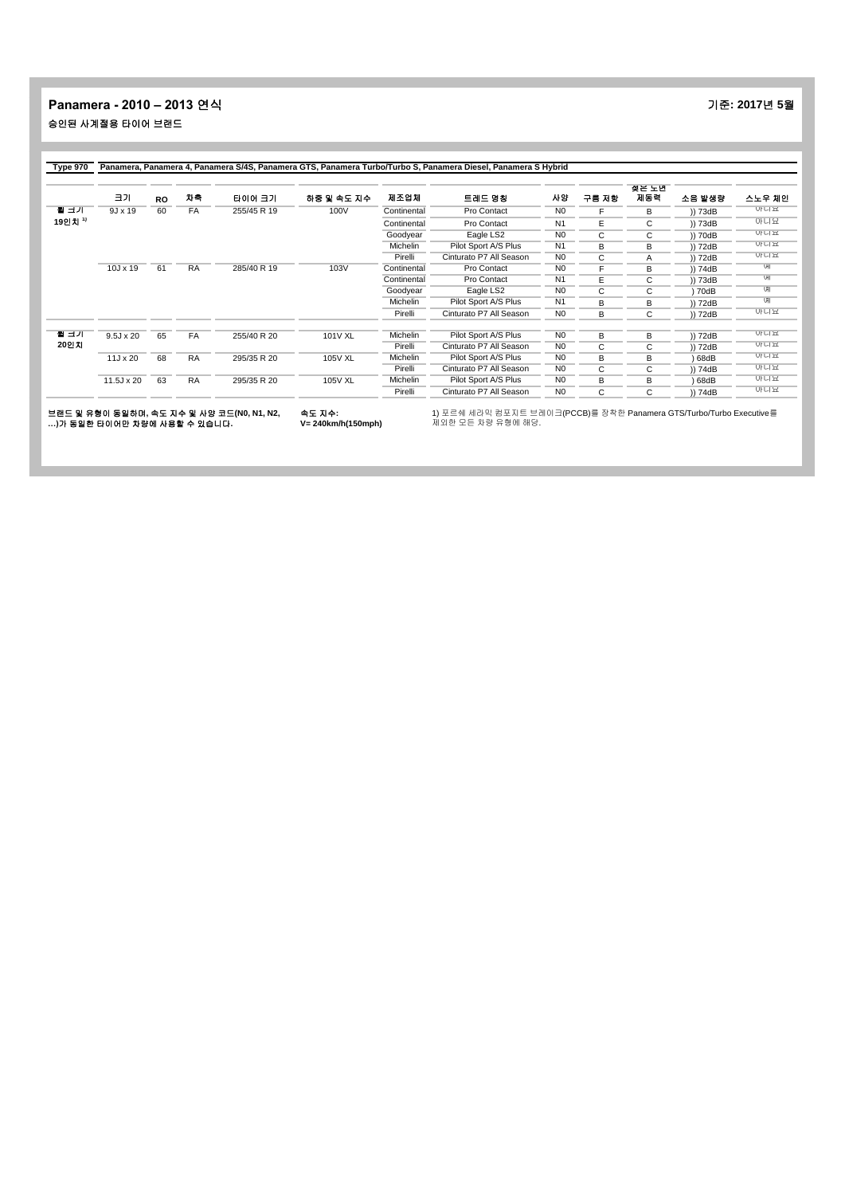#### **Panamera - 2010 – 2013** 연식 기준**: 2017**년 **5**월 승인된 사계절용 타이어 브랜드

|         | 크기               | <b>RO</b> | 자축        | 타이어 크기      | 하중 및 속도 지수     | 제조업체            | 트레드 명칭                  | 사양             | 구름 저항 | 젖은 노면<br>지동력 | 소음 발생량  | 스노우 체인     |
|---------|------------------|-----------|-----------|-------------|----------------|-----------------|-------------------------|----------------|-------|--------------|---------|------------|
| 될 크기    | $9J \times 19$   | 60        | FA        | 255/45 R 19 | 100V           | Continental     | Pro Contact             | N <sub>0</sub> | F     | В            | )) 73dB | 아니요        |
| 19인치 '' |                  |           |           |             |                | Continental     | Pro Contact             | N <sub>1</sub> | Е     | C            | )) 73dB | 아니요        |
|         |                  |           |           |             |                | Goodyear        | Eagle LS2               | N <sub>0</sub> | C     | C            | )) 70dB | 아니뇨        |
|         |                  |           |           |             |                | <b>Michelin</b> | Pilot Sport A/S Plus    | N <sub>1</sub> | В     | В            | )) 72dB | 아니요        |
|         |                  |           |           |             |                | Pirelli         | Cinturato P7 All Season | N <sub>0</sub> | C.    | Α            | )) 72dB | 아니요        |
|         | $10J \times 19$  | 61        | <b>RA</b> | 285/40 R 19 | 103V           | Continental     | Pro Contact             | N <sub>0</sub> |       | В            | )) 74dB | UII        |
|         |                  |           |           |             |                | Continental     | Pro Contact             | N <sub>1</sub> | E     | C            | )) 73dB | UII        |
|         |                  |           |           |             |                | Goodyear        | Eagle LS2               | N <sub>0</sub> | С     | C            | 70dB    | <b>UHI</b> |
|         |                  |           |           |             |                | Michelin        | Pilot Sport A/S Plus    | N <sub>1</sub> | B     | В            | )) 72dB | U          |
|         |                  |           |           |             |                | Pirelli         | Cinturato P7 All Season | N <sub>0</sub> | В     | C            | )) 72dB | 아니요        |
| 될 크기    | $9.5J \times 20$ | 65        | FA        | 255/40 R 20 | 101V XL        | <b>Michelin</b> | Pilot Sport A/S Plus    | N <sub>0</sub> | B     | В            | )) 72dB | 아니요        |
| 20인지    |                  |           |           |             |                | Pirelli         | Cinturato P7 All Season | N <sub>0</sub> | C     | C            | )) 72dB | 아니뇨        |
|         | $11J \times 20$  | 68        | <b>RA</b> | 295/35 R 20 | 105V XL        | Michelin        | Pilot Sport A/S Plus    | N <sub>0</sub> | В     | в            | 68dB    | 아니요        |
|         |                  |           |           |             |                | Pirelli         | Cinturato P7 All Season | N <sub>0</sub> | C     | C            | )) 74dB | 아니요        |
|         | 11.5J x 20       | 63        | <b>RA</b> | 295/35 R 20 | <b>105V XL</b> | Michelin        | Pilot Sport A/S Plus    | N <sub>0</sub> | B     | В            | 68dB    | 아니요        |
|         |                  |           |           |             |                | Pirelli         | Cinturato P7 All Season | N <sub>0</sub> | C     | C            | )) 74dB | 아니요        |

브랜드 및 유형이 동일하며, 속도 지수 및 사양 코드(N0, N1, N2, 속도 지수: 1) 포르쉐 세라믹 컴포지트 브레이크(PCCB)를 장착한 Panamera GTS/Turbo/Turbo Executive를<br>...)가 동일한 타이어만 차량에 사용할 수 있습니다. V= 240km/h(150mph) 제외한 모든 차량 유형에 해당.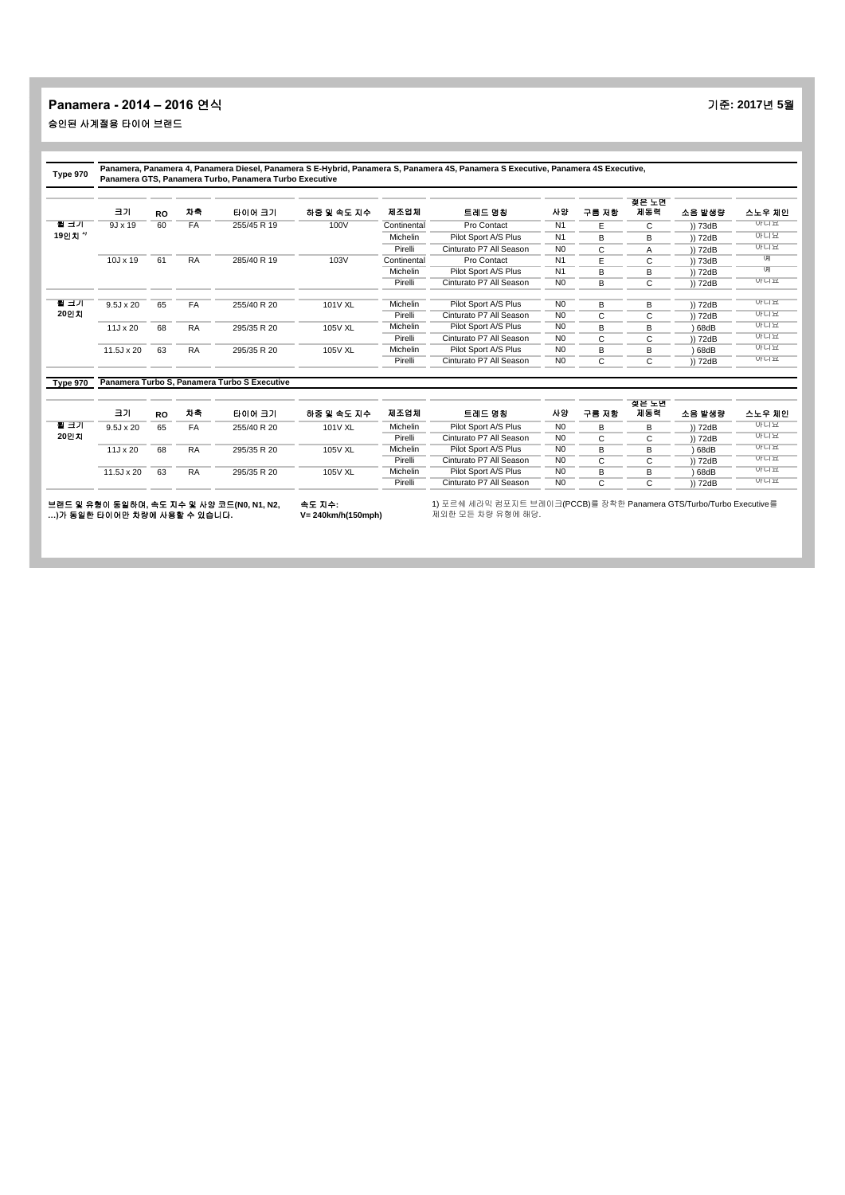| Type 970 |                   |           |           | Panamera GTS, Panamera Turbo, Panamera Turbo Executive |            |             | Panamera, Panamera 4, Panamera Diesel, Panamera S E-Hybrid, Panamera S, Panamera 4S, Panamera S Executive, Panamera 4S Executive, |                |       |              |         |        |
|----------|-------------------|-----------|-----------|--------------------------------------------------------|------------|-------------|-----------------------------------------------------------------------------------------------------------------------------------|----------------|-------|--------------|---------|--------|
|          | 크기                | <b>RO</b> | 차축        | 타이어 크기                                                 | 하중 및 속도 지수 | 제조업체        | 트레드 명칭                                                                                                                            | 사양             | 구름 저항 | 젖은 노면<br>제동력 | 소음 발생량  | 스노우 체인 |
| 될 크기     | $9J \times 19$    | 60        | FA        | 255/45 R 19                                            | 100V       | Continental | Pro Contact                                                                                                                       | N <sub>1</sub> | E     | C            | )) 73dB | 아니요    |
| 19인치 ''  |                   |           |           |                                                        |            | Michelin    | Pilot Sport A/S Plus                                                                                                              | N <sub>1</sub> | B     | В            | )) 72dB | 아니요    |
|          |                   |           |           |                                                        |            | Pirelli     | Cinturato P7 All Season                                                                                                           | N <sub>0</sub> | C     | Α            | )) 72dB | 아니요    |
|          | $10J \times 19$   | 61        | <b>RA</b> | 285/40 R 19                                            | 103V       | Continental | Pro Contact                                                                                                                       | N1             | E     | C            | )) 73dB | U      |
|          |                   |           |           |                                                        |            | Michelin    | Pilot Sport A/S Plus                                                                                                              | N <sub>1</sub> | B     | В            | )) 72dB | U      |
|          |                   |           |           |                                                        |            | Pirelli     | Cinturato P7 All Season                                                                                                           | N <sub>0</sub> | B     | C            | )) 72dB | 아니요    |
| 될 크기     | $9.5J \times 20$  | 65        | FA        | 255/40 R 20                                            | 101V XL    | Michelin    | Pilot Sport A/S Plus                                                                                                              | N <sub>0</sub> | В     | В            | )) 72dB | 아니요    |
| 20인지     |                   |           |           |                                                        |            | Pirelli     | Cinturato P7 All Season                                                                                                           | N <sub>0</sub> | C     | C            | )) 72dB | 아니요    |
|          | 11J x 20          | 68        | <b>RA</b> | 295/35 R 20                                            | 105V XL    | Michelin    | Pilot Sport A/S Plus                                                                                                              | N <sub>0</sub> | B     | B            | 68dB    | 아니뇨    |
|          |                   |           |           |                                                        |            | Pirelli     | Cinturato P7 All Season                                                                                                           | N <sub>0</sub> | C     | C            | )) 72dB | 아니요    |
|          | $11.5J \times 20$ | 63        | <b>RA</b> | 295/35 R 20                                            | 105V XL    | Michelin    | Pilot Sport A/S Plus                                                                                                              | N <sub>0</sub> | B     | в            | 68dB    | 아니요    |
|          |                   |           |           |                                                        |            | Pirelli     | Cinturato P7 All Season                                                                                                           | N <sub>0</sub> | C     | C            | )) 72dB | 아니요    |
| Type 970 |                   |           |           | Panamera Turbo S, Panamera Turbo S Executive           |            |             |                                                                                                                                   |                |       |              |         |        |
|          |                   |           |           |                                                        |            |             |                                                                                                                                   |                |       | 젖은 노면        |         |        |
|          | 크기                | <b>RO</b> | 차축        | 타이어 크기                                                 | 하중 및 속도 지수 | 제조업체        | 트레드 명칭                                                                                                                            | 사양             | 구름 저항 | 제동력          | 소음 발생량  | 스노우 체인 |
| 될 크기     | $9.5J \times 20$  | 65        | FA        | 255/40 R 20                                            | 101V XL    | Michelin    | Pilot Sport A/S Plus                                                                                                              | N <sub>0</sub> | B     | B            | )) 72dB | 아니요    |
| 20인치     |                   |           |           |                                                        |            | Pirelli     | Cinturato P7 All Season                                                                                                           | N <sub>0</sub> | C     | C            | )) 72dB | 아니요    |
|          | 11J x 20          | 68        | <b>RA</b> | 295/35 R 20                                            | 105V XL    | Michelin    | Pilot Sport A/S Plus                                                                                                              | N <sub>0</sub> | B     | В            | 68dB    | 아니요    |
|          |                   |           |           |                                                        |            | Pirelli     | Cinturato P7 All Season                                                                                                           | N <sub>0</sub> | C     | C            | )) 72dB | 아니요    |
|          | $11.5J \times 20$ | 63        | <b>RA</b> | 295/35 R 20                                            | 105V XL    | Michelin    | Pilot Sport A/S Plus                                                                                                              | N <sub>0</sub> | B     | в            | 68dB    | 아니요    |
|          |                   |           |           |                                                        |            | Pirelli     | Cinturato P7 All Season                                                                                                           | N <sub>0</sub> | C     | C            | )) 72dB | 아니요    |

브랜드 및 유형이 동일하며**,** 속도 지수 및 사양 코드**(N0, N1, N2, …)**가 동일한 타이어만 차량에 사용할 수 있습니다**.** 속도 지수**: V= 240km/h(150mph)**

ш.

1) 포르쉐 세라믹 컴포지트 브레이크(PCCB)를 장착한 Panamera GTS/Turbo/Turbo Executive를 제외한 모든 차량 유형에 해당.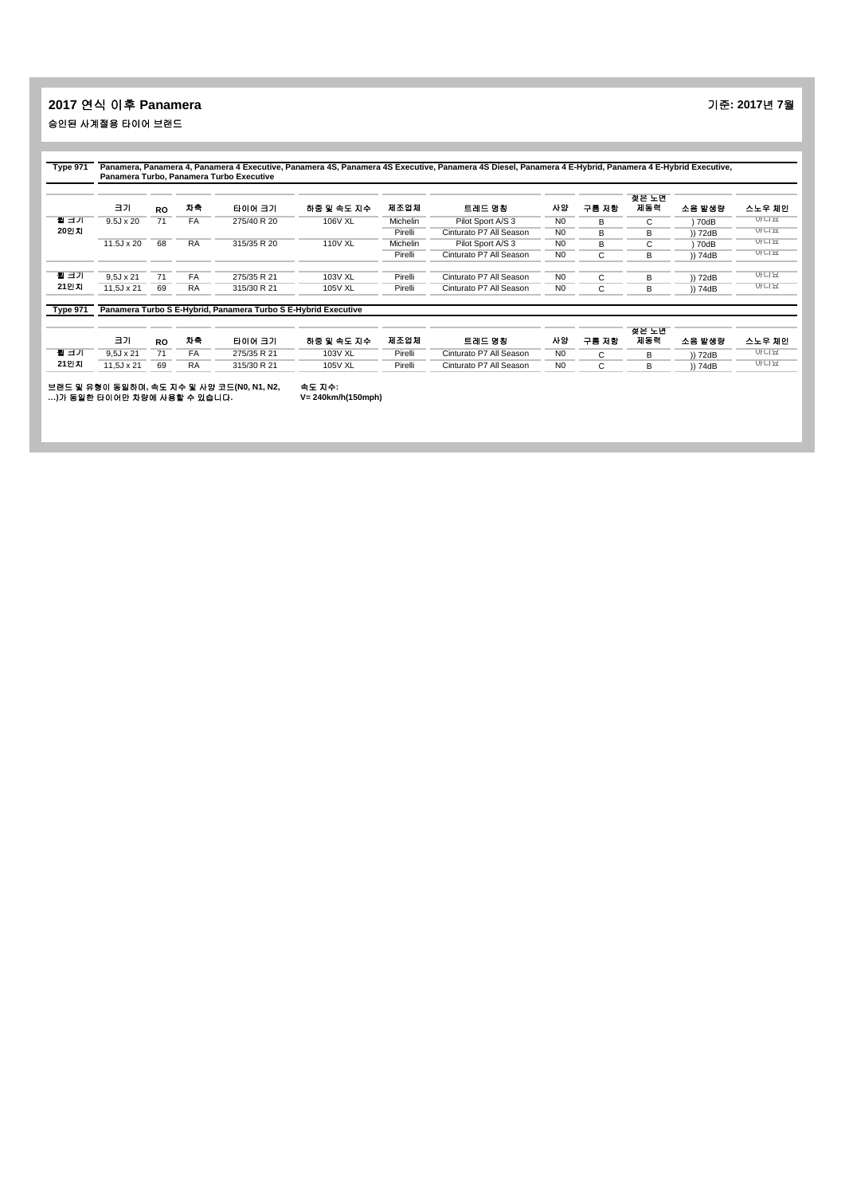# **2017** 연식 이후 **Panamera** 기준**: 2017**년 **7**월 승인된 사계절용 타이어 브랜드

|                 | 크기                | <b>RO</b> | 자축        | 타이어 크기                                                         | 하중 및 속도 지수     | 제조업체     | 트레드 명칭                  | 사양             | 구름 저항 | 젖은 노면<br>제동력 | 소음 발생량  | 스노우 체인 |
|-----------------|-------------------|-----------|-----------|----------------------------------------------------------------|----------------|----------|-------------------------|----------------|-------|--------------|---------|--------|
| 될 크기            | $9.5J \times 20$  | 71        | FA        | 275/40 R 20                                                    | 106V XL        | Michelin | Pilot Sport A/S 3       | N <sub>0</sub> | B     | C            | 70dB    | 아니요    |
| 20인지            |                   |           |           |                                                                |                | Pirelli  | Cinturato P7 All Season | N <sub>0</sub> | В     | в            | )) 72dB | 아니요    |
|                 | 11.5J x 20        | 68        | <b>RA</b> | 315/35 R 20                                                    | <b>110V XL</b> | Michelin | Pilot Sport A/S 3       | N <sub>0</sub> | B     | С            | ) 70dB  | 아니뇨    |
|                 |                   |           |           |                                                                |                | Pirelli  | Cinturato P7 All Season | N <sub>0</sub> | С     | в            | )) 74dB | 아니요    |
| 될 크기            | $9.5J \times 21$  | 71        | FA        | 275/35 R 21                                                    | 103V XL        | Pirelli  | Cinturato P7 All Season | N <sub>0</sub> | C     | в            | )) 72dB | 아니요    |
| 21인지            | $11.5J \times 21$ | 69        | <b>RA</b> | 315/30 R 21                                                    | <b>105V XL</b> | Pirelli  | Cinturato P7 All Season | N <sub>0</sub> | C     | в            | )) 74dB | 아니요    |
| <b>Type 971</b> |                   |           |           | Panamera Turbo S E-Hybrid, Panamera Turbo S E-Hybrid Executive |                |          |                         |                |       |              |         |        |
|                 | 크기                | <b>RO</b> | 차축        | 타이어 크기                                                         | 하중 및 속도 지수     | 제조업체     | 트레드 명칭                  | 사양             | 구름 저항 | 젖은 노년<br>제동력 | 소음 발생량  | 스노우 체인 |
| 될 크기            | $9.5J \times 21$  | 71        | FA        | 275/35 R 21                                                    | 103V XL        | Pirelli  | Cinturato P7 All Season | N <sub>0</sub> | C     | в            | )) 72dB | 아니요    |
| 21인치            | $11.5J \times 21$ | 69        | <b>RA</b> | 315/30 R 21                                                    | <b>105V XL</b> | Pirelli  | Cinturato P7 All Season | N <sub>0</sub> | C     | в            | )) 74dB | 아니요    |